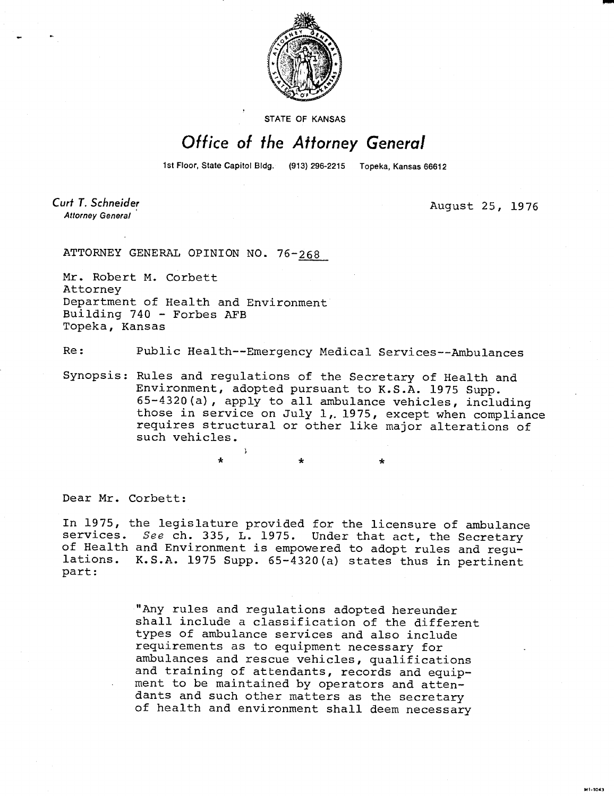

**STATE OF KANSAS** 

## Office of the Attorney General

1st Floor, State Capitol Bldg. (913) 296-2215 Topeka, Kansas 66612

Curt T. Schneider **Attorney General** 

August 25, 1976

F201-1M

ATTORNEY GENERAL OPINION NO. 76-268

Mr. Robert M. Corbett Attorney Department of Health and Environment Building 740 - Forbes AFB Topeka, Kansas

Re: Public Health--Emergency Medical Services--Ambulances

Synopsis: Rules and regulations of the Secretary of Health and Environment, adopted pursuant to K.S.A. 1975 Supp. 65-4320(a), apply to all ambulance vehicles, including those in service on July 1, 1975, except when compliance requires structural or other like major alterations of such vehicles.

Dear Mr. Corbett:

In 1975, the legislature provided for the licensure of ambulance services. See ch. 335, L. 1975. Under that act, the Secretary of Health and Environment is empowered to adopt rules and regulations. K.S.A. 1975 Supp. 65-4320(a) states thus in pertinent part:

> "Any rules and regulations adopted hereunder shall include a classification of the different types of ambulance services and also include requirements as to equipment necessary for ambulances and rescue vehicles, qualifications and training of attendants, records and equipment to be maintained by operators and attendants and such other matters as the secretary of health and environment shall deem necessary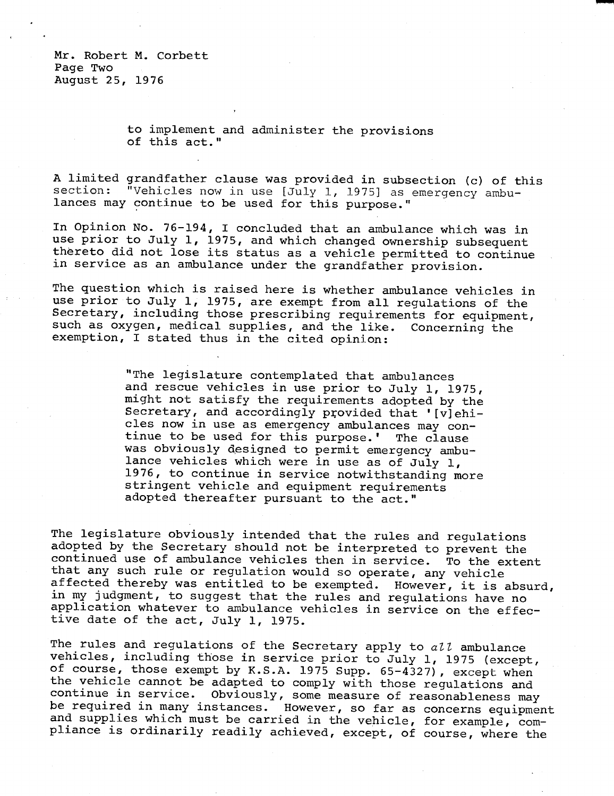Mr. Robert M. Corbett Page Two August 25, 1976

> to implement and administer the provisions of this act."

A limited grandfather clause was provided in subsection (c) of this section: "Vehicles now in use [July 1, 1975] as emergency ambulances may continue to be used for this purpose."

In Opinion No. 76-194, I concluded that an ambulance which was in use prior to July 1, 1975, and which changed ownership subsequent thereto did not lose its status as a vehicle permitted to continue in service as an ambulance under the grandfather provision.

The question which is raised here is whether ambulance vehicles in use prior to July 1, 1975, are exempt from all regulations of the Secretary, including those prescribing requirements for equipment, such as oxygen, medical supplies, and the like. Concerning the exemption, I stated thus in the cited opinion:

> "The legislature contemplated that ambulances and rescue vehicles in use prior to July 1, 1975, might not satisfy the requirements adopted by the Secretary, and accordingly provided that '[v]ehicles now in use as emergency ambulances may continue to be used for this purpose.' The clause was obviously designed to permit emergency ambulance vehicles which were in use as of July 1, 1976, to continue in service notwithstanding more stringent vehicle and equipment requirements adopted thereafter pursuant to the act."

The legislature obviously intended that the rules and regulations adopted by the Secretary should not be interpreted to prevent the continued use of ambulance vehicles then in service. To the extent that any such rule or regulation would so operate, any vehicle affected thereby was entitled to be exempted. However, it is absurd, in my judgment, to suggest that the rules and regulations have no application whatever to ambulance vehicles in service on the effective date of the act, July 1, 1975.

The rules and regulations of the Secretary apply to  $a l l$  ambulance vehicles, including those in service prior to July 1, 1975 (except, of course, those exempt by K.S.A. 1975 Supp. 65-4327), except when the vehicle cannot be adapted to comply with those regulations and continue in service. Obviously, some measure of reasonableness may be required in many instances. However, so far as concerns equipment and supplies which must be carried in the vehicle, for example, compliance is ordinarily readily achieved, except, of course, where the